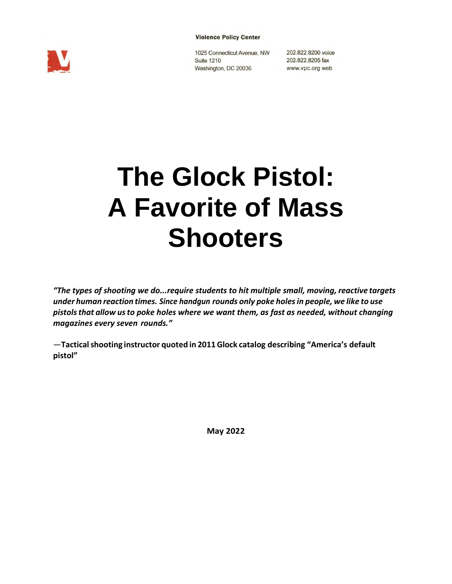



1025 Connecticut Avenue, NW 202.822.8200 voice **Suite 1210** Washington, DC 20036

202.822.8205 fax www.vpc.org web

# **The Glock Pistol: A Favorite of Mass Shooters**

*"The types of shooting we do...require students to hit multiple small, moving, reactive targets under human reaction times. Since handgun rounds only poke holesin people, we like to use pistolsthat allow usto poke holes where we want them, as fast as needed, without changing magazines every seven rounds."*

—**Tacticalshooting instructor quoted in 2011Glock catalog describing "America's default pistol"**

**May 2022**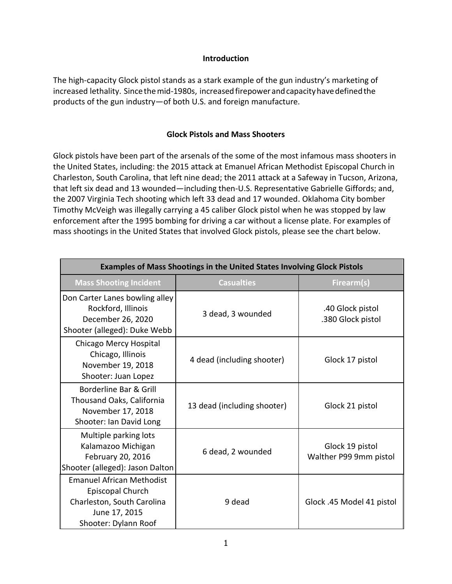### **Introduction**

The high-capacity Glock pistol stands as a stark example of the gun industry's marketing of increased lethality. Since the mid-1980s, increased firepower and capacity have defined the products of the gun industry—of both U.S. and foreign manufacture.

## **Glock Pistols and Mass Shooters**

Glock pistols have been part of the arsenals of the some of the most infamous mass shooters in the United States, including: the 2015 attack at Emanuel African Methodist Episcopal Church in Charleston, South Carolina, that left nine dead; the 2011 attack at a Safeway in Tucson, Arizona, that left six dead and 13 wounded—including then-U.S. Representative Gabrielle Giffords; and, the 2007 Virginia Tech shooting which left 33 dead and 17 wounded. Oklahoma City bomber Timothy McVeigh was illegally carrying a 45 caliber Glock pistol when he was stopped by law enforcement after the 1995 bombing for driving a car without a license plate. For examples of mass shootings in the United States that involved Glock pistols, please see the chart below.

| <b>Examples of Mass Shootings in the United States Involving Glock Pistols</b>                                              |                             |                                           |  |  |
|-----------------------------------------------------------------------------------------------------------------------------|-----------------------------|-------------------------------------------|--|--|
| <b>Mass Shooting Incident</b>                                                                                               | <b>Casualties</b>           | Firearm(s)                                |  |  |
| Don Carter Lanes bowling alley<br>Rockford, Illinois<br>December 26, 2020<br>Shooter (alleged): Duke Webb                   | 3 dead, 3 wounded           | .40 Glock pistol<br>.380 Glock pistol     |  |  |
| Chicago Mercy Hospital<br>Chicago, Illinois<br>November 19, 2018<br>Shooter: Juan Lopez                                     | 4 dead (including shooter)  | Glock 17 pistol                           |  |  |
| Borderline Bar & Grill<br>Thousand Oaks, California<br>November 17, 2018<br>Shooter: Ian David Long                         | 13 dead (including shooter) | Glock 21 pistol                           |  |  |
| Multiple parking lots<br>Kalamazoo Michigan<br>February 20, 2016<br>Shooter (alleged): Jason Dalton                         | 6 dead, 2 wounded           | Glock 19 pistol<br>Walther P99 9mm pistol |  |  |
| <b>Emanuel African Methodist</b><br>Episcopal Church<br>Charleston, South Carolina<br>June 17, 2015<br>Shooter: Dylann Roof | 9 dead                      | Glock .45 Model 41 pistol                 |  |  |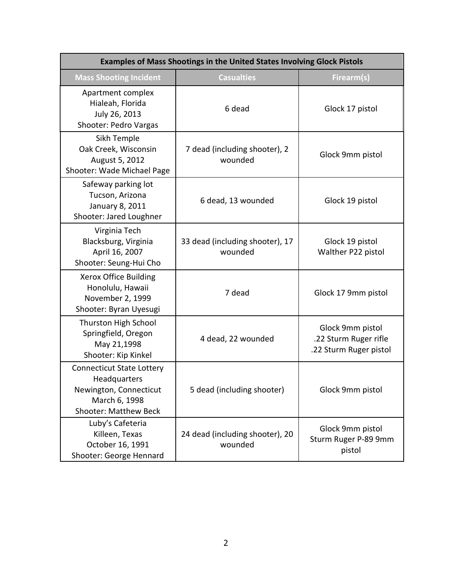| Examples of Mass Shootings in the United States Involving Glock Pistols                                                     |                                            |                                                                     |  |  |
|-----------------------------------------------------------------------------------------------------------------------------|--------------------------------------------|---------------------------------------------------------------------|--|--|
| <b>Mass Shooting Incident</b>                                                                                               | <b>Casualties</b>                          | Firearm(s)                                                          |  |  |
| Apartment complex<br>Hialeah, Florida<br>July 26, 2013<br>Shooter: Pedro Vargas                                             | 6 dead                                     | Glock 17 pistol                                                     |  |  |
| Sikh Temple<br>Oak Creek, Wisconsin<br>August 5, 2012<br>Shooter: Wade Michael Page                                         | 7 dead (including shooter), 2<br>wounded   | Glock 9mm pistol                                                    |  |  |
| Safeway parking lot<br>Tucson, Arizona<br>January 8, 2011<br>Shooter: Jared Loughner                                        | 6 dead, 13 wounded                         | Glock 19 pistol                                                     |  |  |
| Virginia Tech<br>Blacksburg, Virginia<br>April 16, 2007<br>Shooter: Seung-Hui Cho                                           | 33 dead (including shooter), 17<br>wounded | Glock 19 pistol<br>Walther P22 pistol                               |  |  |
| Xerox Office Building<br>Honolulu, Hawaii<br>November 2, 1999<br>Shooter: Byran Uyesugi                                     | 7 dead                                     | Glock 17 9mm pistol                                                 |  |  |
| Thurston High School<br>Springfield, Oregon<br>May 21,1998<br>Shooter: Kip Kinkel                                           | 4 dead, 22 wounded                         | Glock 9mm pistol<br>.22 Sturm Ruger rifle<br>.22 Sturm Ruger pistol |  |  |
| <b>Connecticut State Lottery</b><br>Headquarters<br>Newington, Connecticut<br>March 6, 1998<br><b>Shooter: Matthew Beck</b> | 5 dead (including shooter)                 | Glock 9mm pistol                                                    |  |  |
| Luby's Cafeteria<br>Killeen, Texas<br>October 16, 1991<br>Shooter: George Hennard                                           | 24 dead (including shooter), 20<br>wounded | Glock 9mm pistol<br>Sturm Ruger P-89 9mm<br>pistol                  |  |  |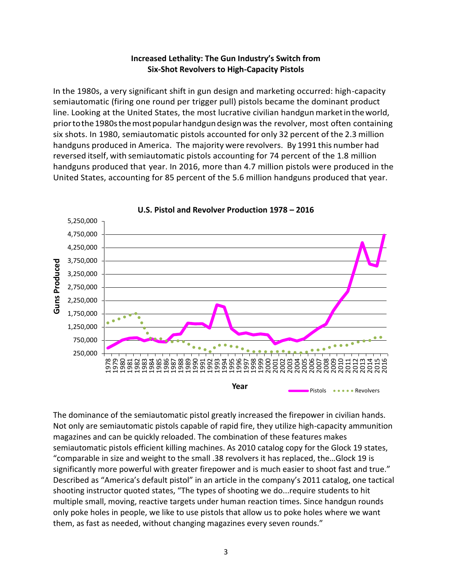## **Increased Lethality: The Gun Industry's Switch from Six-Shot Revolvers to High-Capacity Pistols**

In the 1980s, a very significant shift in gun design and marketing occurred: high-capacity semiautomatic (firing one round per trigger pull) pistols became the dominant product line. Looking at the United States, the most lucrative civilian handgun marketintheworld, priortothe1980sthemostpopularhandgundesignwas the revolver, most often containing six shots. In 1980, semiautomatic pistols accounted for only 32 percent of the 2.3 million handguns produced in America. The majority were revolvers. By 1991 this number had reversed itself, with semiautomatic pistols accounting for 74 percent of the 1.8 million handguns produced that year. In 2016, more than 4.7 million pistols were produced in the United States, accounting for 85 percent of the 5.6 million handguns produced that year.



**U.S. Pistol and Revolver Production 1978 – 2016**

The dominance of the semiautomatic pistol greatly increased the firepower in civilian hands. Not only are semiautomatic pistols capable of rapid fire, they utilize high-capacity ammunition magazines and can be quickly reloaded. The combination of these features makes semiautomatic pistols efficient killing machines. As 2010 catalog copy for the Glock 19 states, "comparable in size and weight to the small .38 revolvers it has replaced, the…Glock 19 is significantly more powerful with greater firepower and is much easier to shoot fast and true." Described as "America's default pistol" in an article in the company's 2011 catalog, one tactical shooting instructor quoted states, "The types of shooting we do...require students to hit multiple small, moving, reactive targets under human reaction times. Since handgun rounds only poke holes in people, we like to use pistols that allow us to poke holes where we want them, as fast as needed, without changing magazines every seven rounds."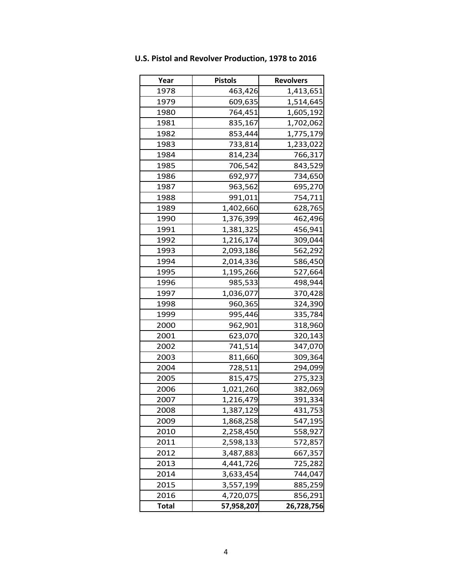| Year         | <b>Pistols</b> | <b>Revolvers</b> |
|--------------|----------------|------------------|
| 1978         | 463,426        | 1,413,651        |
| 1979         | 609,635        | 1,514,645        |
| 1980         | 764,451        | 1,605,192        |
| 1981         | 835,167        | 1,702,062        |
| 1982         | 853,444        | 1,775,179        |
| 1983         | 733,814        | 1,233,022        |
| 1984         | 814,234        | 766,317          |
| 1985         | 706,542        | 843,529          |
| 1986         | 692,977        | 734,650          |
| 1987         | 963,562        | 695,270          |
| 1988         | 991,011        | 754,711          |
| 1989         | 1,402,660      | 628,765          |
| 1990         | 1,376,399      | 462,496          |
| 1991         | 1,381,325      | 456,941          |
| 1992         | 1,216,174      | 309,044          |
| 1993         | 2,093,186      | 562,292          |
| 1994         | 2,014,336      | 586,450          |
| 1995         | 1,195,266      | 527,664          |
| 1996         | 985,533        | 498,944          |
| 1997         | 1,036,077      | 370,428          |
| 1998         | 960,365        | 324,390          |
| 1999         | 995,446        | 335,784          |
| 2000         | 962,901        | 318,960          |
| 2001         | 623,070        | 320,143          |
| 2002         | 741,514        | 347,070          |
| 2003         | 811,660        | 309,364          |
| 2004         | 728,511        | 294,099          |
| 2005         | 815,475        | 275,323          |
| 2006         | 1,021,260      | 382,069          |
| 2007         | 1,216,479      | 391,334          |
| 2008         | 1,387,129      | 431,753          |
| 2009         | 1,868,258      | 547,195          |
| 2010         | 2,258,450      | 558,927          |
| 2011         | 2,598,133      | 572,857          |
| 2012         | 3,487,883      | 667,357          |
| 2013         | 4,441,726      | 725,282          |
| 2014         | 3,633,454      | 744,047          |
| 2015         | 3,557,199      | 885,259          |
| 2016         | 4,720,075      | 856,291          |
| <b>Total</b> | 57,958,207     | 26,728,756       |

**U.S. Pistol and Revolver Production, 1978 to 2016**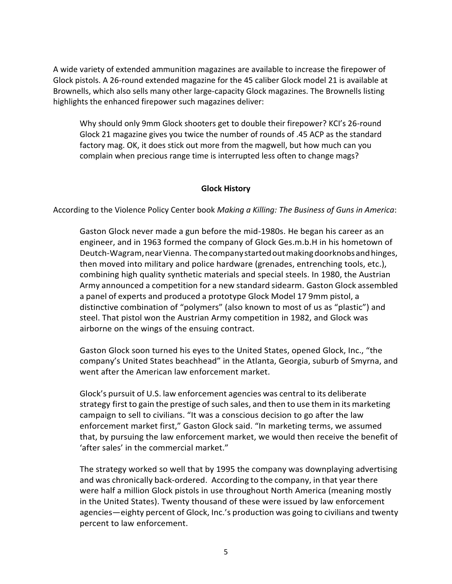A wide variety of extended ammunition magazines are available to increase the firepower of Glock pistols. A 26-round extended magazine for the 45 caliber Glock model 21 is available at Brownells, which also sells many other large-capacity Glock magazines. The Brownells listing highlights the enhanced firepower such magazines deliver:

Why should only 9mm Glock shooters get to double their firepower? KCI's 26-round Glock 21 magazine gives you twice the number of rounds of .45 ACP as the standard factory mag. OK, it does stick out more from the magwell, but how much can you complain when precious range time is interrupted less often to change mags?

### **Glock History**

According to the Violence Policy Center book *Making a Killing: The Business of Guns in America*:

Gaston Glock never made a gun before the mid-1980s. He began his career as an engineer, and in 1963 formed the company of Glock Ges.m.b.H in his hometown of Deutch-Wagram,nearVienna. Thecompanystartedoutmakingdoorknobsandhinges, then moved into military and police hardware (grenades, entrenching tools, etc.), combining high quality synthetic materials and special steels. In 1980, the Austrian Army announced a competition for a new standard sidearm. Gaston Glock assembled a panel of experts and produced a prototype Glock Model 17 9mm pistol, a distinctive combination of "polymers" (also known to most of us as "plastic") and steel. That pistol won the Austrian Army competition in 1982, and Glock was airborne on the wings of the ensuing contract.

Gaston Glock soon turned his eyes to the United States, opened Glock, Inc., "the company's United States beachhead" in the Atlanta, Georgia, suburb of Smyrna, and went after the American law enforcement market.

Glock's pursuit of U.S. law enforcement agencies was central to its deliberate strategy first to gain the prestige of such sales, and then to use them in its marketing campaign to sell to civilians. "It was a conscious decision to go after the law enforcement market first," Gaston Glock said. "In marketing terms, we assumed that, by pursuing the law enforcement market, we would then receive the benefit of 'after sales' in the commercial market."

The strategy worked so well that by 1995 the company was downplaying advertising and was chronically back-ordered. According to the company, in that year there were half a million Glock pistols in use throughout North America (meaning mostly in the United States). Twenty thousand of these were issued by law enforcement agencies—eighty percent of Glock, Inc.'s production was going to civilians and twenty percent to law enforcement.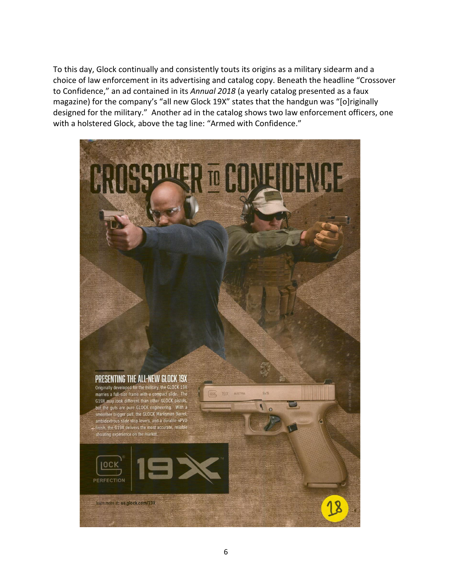To this day, Glock continually and consistently touts its origins as a military sidearm and a choice of law enforcement in its advertising and catalog copy. Beneath the headline "Crossover to Confidence," an ad contained in its *Annual 2018* (a yearly catalog presented as a faux magazine) for the company's "all new Glock 19X" states that the handgun was "[o]riginally designed for the military." Another ad in the catalog shows two law enforcement officers, one with a holstered Glock, above the tag line: "Armed with Confidence."